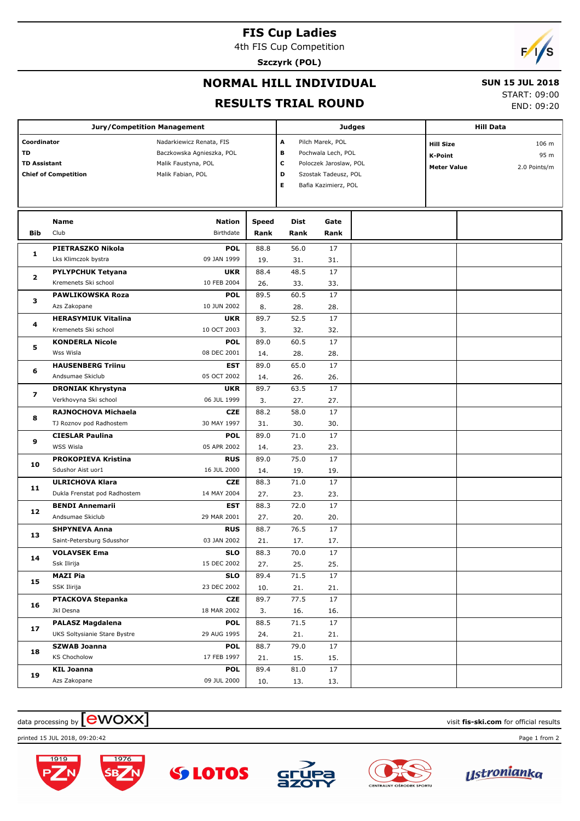# **FIS Cup Ladies**

4th FIS Cup Competition

**Szczyrk (POL)**



### **NORMAL HILL INDIVIDUAL**

#### **SUN 15 JUL 2018**

#### **RESULTS TRIAL ROUND**

START: 09:00

END: 09:20

|                               | <b>Jury/Competition Management</b> |                                                       |                       |      |                        | <b>Judges</b>             | <b>Hill Data</b>   |  |              |  |
|-------------------------------|------------------------------------|-------------------------------------------------------|-----------------------|------|------------------------|---------------------------|--------------------|--|--------------|--|
| Coordinator                   |                                    |                                                       | А<br>Pilch Marek, POL |      |                        | 106 m<br><b>Hill Size</b> |                    |  |              |  |
| <b>TD</b>                     |                                    | Nadarkiewicz Renata, FIS<br>Baczkowska Agnieszka, POL |                       | в    | Pochwala Lech, POL     |                           | <b>K-Point</b>     |  | 95 m         |  |
| <b>TD Assistant</b>           |                                    | Malik Faustyna, POL                                   |                       | c    | Poloczek Jaroslaw, POL |                           | <b>Meter Value</b> |  | 2.0 Points/m |  |
|                               | <b>Chief of Competition</b>        | Malik Fabian, POL                                     |                       | D    | Szostak Tadeusz, POL   |                           |                    |  |              |  |
|                               |                                    |                                                       |                       | Е    | Bafia Kazimierz, POL   |                           |                    |  |              |  |
|                               |                                    |                                                       |                       |      |                        |                           |                    |  |              |  |
|                               | Name                               | <b>Nation</b>                                         | Speed                 | Dist | Gate                   |                           |                    |  |              |  |
| <b>Bib</b>                    | Club                               | Birthdate                                             | Rank                  | Rank | Rank                   |                           |                    |  |              |  |
|                               | PIETRASZKO Nikola                  | <b>POL</b>                                            | 88.8                  | 56.0 | 17                     |                           |                    |  |              |  |
| 1                             | Lks Klimczok bystra                | 09 JAN 1999                                           | 19.                   | 31.  | 31.                    |                           |                    |  |              |  |
|                               | <b>PYLYPCHUK Tetyana</b>           | <b>UKR</b>                                            | 88.4                  | 48.5 | 17                     |                           |                    |  |              |  |
| $\overline{\mathbf{2}}$       | Kremenets Ski school               | 10 FEB 2004                                           | 26.                   | 33.  | 33.                    |                           |                    |  |              |  |
|                               | <b>PAWLIKOWSKA Roza</b>            | <b>POL</b>                                            | 89.5                  | 60.5 | 17                     |                           |                    |  |              |  |
| з                             | Azs Zakopane                       | 10 JUN 2002                                           | 8.                    | 28.  | 28.                    |                           |                    |  |              |  |
| 4                             | <b>HERASYMIUK Vitalina</b>         | <b>UKR</b>                                            | 89.7                  | 52.5 | 17                     |                           |                    |  |              |  |
|                               | Kremenets Ski school               | 10 OCT 2003                                           | 3.                    | 32.  | 32.                    |                           |                    |  |              |  |
| 5                             | <b>KONDERLA Nicole</b>             | <b>POL</b>                                            | 89.0                  | 60.5 | 17                     |                           |                    |  |              |  |
|                               | Wss Wisla                          | 08 DEC 2001                                           | 14.                   | 28.  | 28.                    |                           |                    |  |              |  |
| 6                             | <b>HAUSENBERG Triinu</b>           | <b>EST</b>                                            | 89.0                  | 65.0 | 17                     |                           |                    |  |              |  |
|                               | Andsumae Skiclub                   | 05 OCT 2002                                           | 14.                   | 26.  | 26.                    |                           |                    |  |              |  |
|                               | <b>DRONIAK Khrystyna</b>           | <b>UKR</b>                                            | 89.7                  | 63.5 | 17                     |                           |                    |  |              |  |
| $\overline{\mathbf{z}}$       | Verkhovyna Ski school              | 06 JUL 1999                                           | 3.                    | 27.  | 27.                    |                           |                    |  |              |  |
| 8                             | RAJNOCHOVA Michaela                | <b>CZE</b>                                            | 88.2                  | 58.0 | 17                     |                           |                    |  |              |  |
|                               | TJ Roznov pod Radhostem            | 30 MAY 1997                                           | 31.                   | 30.  | 30.                    |                           |                    |  |              |  |
|                               | <b>CIESLAR Paulina</b>             | <b>POL</b>                                            | 89.0                  | 71.0 | 17                     |                           |                    |  |              |  |
| 9                             | <b>WSS Wisla</b>                   | 05 APR 2002                                           | 14.                   | 23.  | 23.                    |                           |                    |  |              |  |
| 10                            | <b>PROKOPIEVA Kristina</b>         | <b>RUS</b>                                            | 89.0                  | 75.0 | 17                     |                           |                    |  |              |  |
|                               | Sdushor Aist uor1                  | 16 JUL 2000                                           | 14.                   | 19.  | 19.                    |                           |                    |  |              |  |
|                               | <b>ULRICHOVA Klara</b>             | <b>CZE</b>                                            | 88.3                  | 71.0 | 17                     |                           |                    |  |              |  |
|                               | Dukla Frenstat pod Radhostem       | 14 MAY 2004                                           | 27.                   | 23.  | 23.                    |                           |                    |  |              |  |
|                               | <b>BENDI Annemarii</b>             | <b>EST</b>                                            | 88.3                  | 72.0 | 17                     |                           |                    |  |              |  |
| 11<br>$12 \overline{ }$<br>13 | Andsumae Skiclub                   | 29 MAR 2001                                           | 27.                   | 20.  | 20.                    |                           |                    |  |              |  |
|                               | <b>SHPYNEVA Anna</b>               | <b>RUS</b>                                            | 88.7                  | 76.5 | 17                     |                           |                    |  |              |  |
|                               | Saint-Petersburg Sdusshor          | 03 JAN 2002                                           | 21.                   | 17.  | 17.                    |                           |                    |  |              |  |
| 14                            | <b>VOLAVSEK Ema</b>                | SLO                                                   | 88.3                  | 70.0 | 17                     |                           |                    |  |              |  |
|                               | Ssk Ilirija                        | 15 DEC 2002                                           | 27.                   | 25.  | 25.                    |                           |                    |  |              |  |
| 15                            | <b>MAZI Pia</b>                    | <b>SLO</b>                                            | 89.4                  | 71.5 | 17                     |                           |                    |  |              |  |
|                               | SSK Ilirija                        | 23 DEC 2002                                           | 10.                   | 21.  | 21.                    |                           |                    |  |              |  |
| 16                            | PTACKOVA Stepanka                  | <b>CZE</b>                                            | 89.7                  | 77.5 | 17                     |                           |                    |  |              |  |
|                               | Jkl Desna                          | 18 MAR 2002                                           | 3.                    | 16.  | 16.                    |                           |                    |  |              |  |
| 17                            | <b>PALASZ Magdalena</b>            | <b>POL</b>                                            | 88.5                  | 71.5 | 17                     |                           |                    |  |              |  |
|                               | UKS Soltysianie Stare Bystre       | 29 AUG 1995                                           | 24.                   | 21.  | 21.                    |                           |                    |  |              |  |
| 18                            | <b>SZWAB Joanna</b>                | <b>POL</b>                                            | 88.7                  | 79.0 | 17                     |                           |                    |  |              |  |
|                               | <b>KS Chocholow</b>                | 17 FEB 1997                                           | 21.                   | 15.  | 15.                    |                           |                    |  |              |  |
| 19                            | <b>KIL Joanna</b>                  | <b>POL</b>                                            | 89.4                  | 81.0 | 17                     |                           |                    |  |              |  |
|                               | Azs Zakopane                       | 09 JUL 2000                                           | 10.                   | 13.  | 13.                    |                           |                    |  |              |  |

## $\frac{1}{2}$  data processing by  $\boxed{\text{ewOX}}$

printed 15 JUL 2018, 09:20:42 Page 1 from 2





**SS LOTOS**